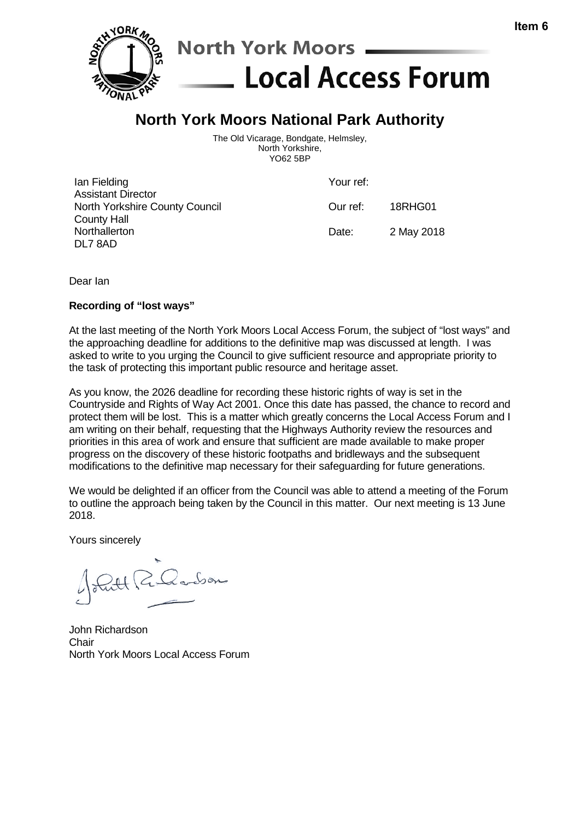

## **North York Moors National Park Authority**

The Old Vicarage, Bondgate, Helmsley, North Yorkshire, YO62 5BP

| lan Fielding<br><b>Assistant Director</b>            | Your ref: |            |
|------------------------------------------------------|-----------|------------|
| North Yorkshire County Council<br><b>County Hall</b> | Our ref:  | 18RHG01    |
| Northallerton<br>DL7 8AD                             | Date:     | 2 May 2018 |

Dear Ian

## **Recording of "lost ways"**

At the last meeting of the North York Moors Local Access Forum, the subject of "lost ways" and the approaching deadline for additions to the definitive map was discussed at length. I was asked to write to you urging the Council to give sufficient resource and appropriate priority to the task of protecting this important public resource and heritage asset.

As you know, the 2026 deadline for recording these historic rights of way is set in the Countryside and Rights of Way Act 2001. Once this date has passed, the chance to record and protect them will be lost. This is a matter which greatly concerns the Local Access Forum and I am writing on their behalf, requesting that the Highways Authority review the resources and priorities in this area of work and ensure that sufficient are made available to make proper progress on the discovery of these historic footpaths and bridleways and the subsequent modifications to the definitive map necessary for their safeguarding for future generations.

We would be delighted if an officer from the Council was able to attend a meeting of the Forum to outline the approach being taken by the Council in this matter. Our next meeting is 13 June 2018.

Yours sincerely

24 R. Roobon

John Richardson Chair North York Moors Local Access Forum